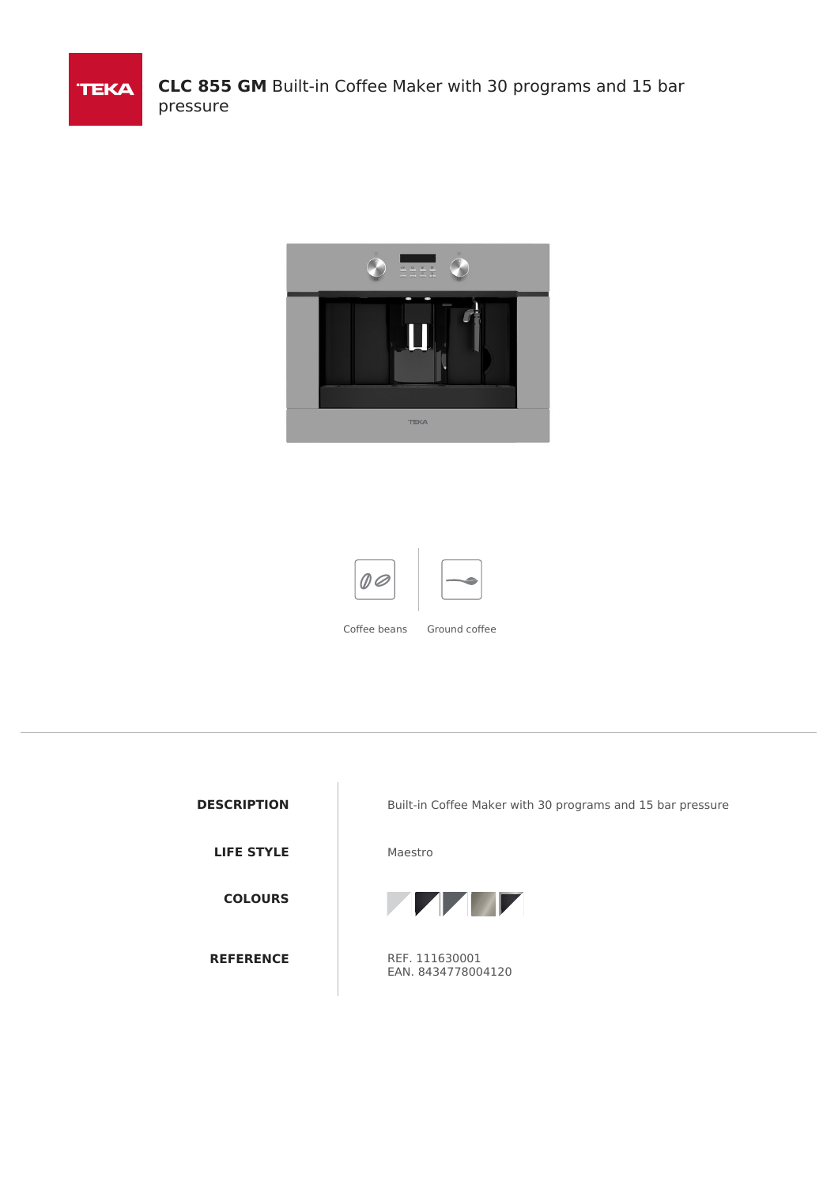





**LIFE STYLE** Maestro **COLOURS REFERENCE** REF. 111630001

**DESCRIPTION** Built-in Coffee Maker with 30 programs and 15 bar pressure



EAN. 8434778004120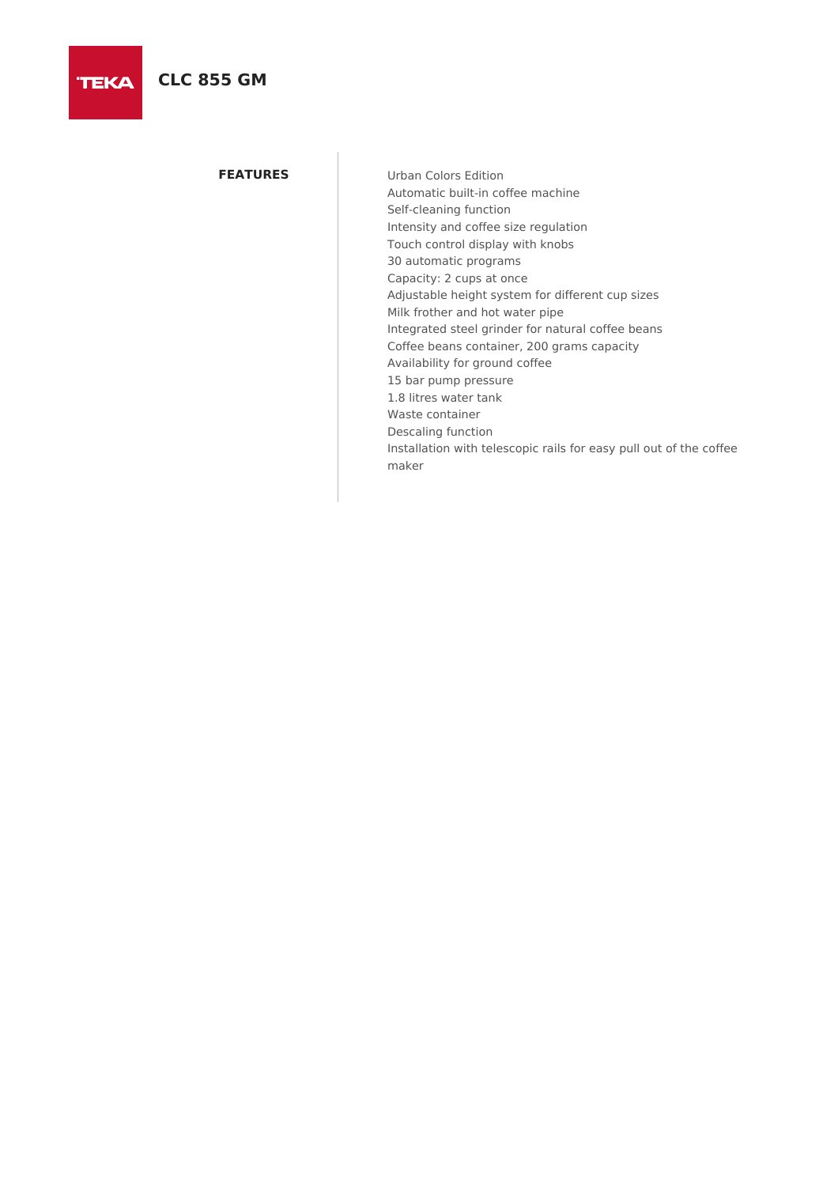**TEKA** 

**FEATURES** Urban Colors Edition Automatic built-in coffee machine Self-cleaning function Intensity and coffee size regulation Touch control display with knobs 30 automatic programs Capacity: 2 cups at once Adjustable height system for different cup sizes Milk frother and hot water pipe Integrated steel grinder for natural coffee beans Coffee beans container, 200 grams capacity Availability for ground coffee 15 bar pump pressure 1.8 litres water tank Waste container Descaling function Installation with telescopic rails for easy pull out of the coffee maker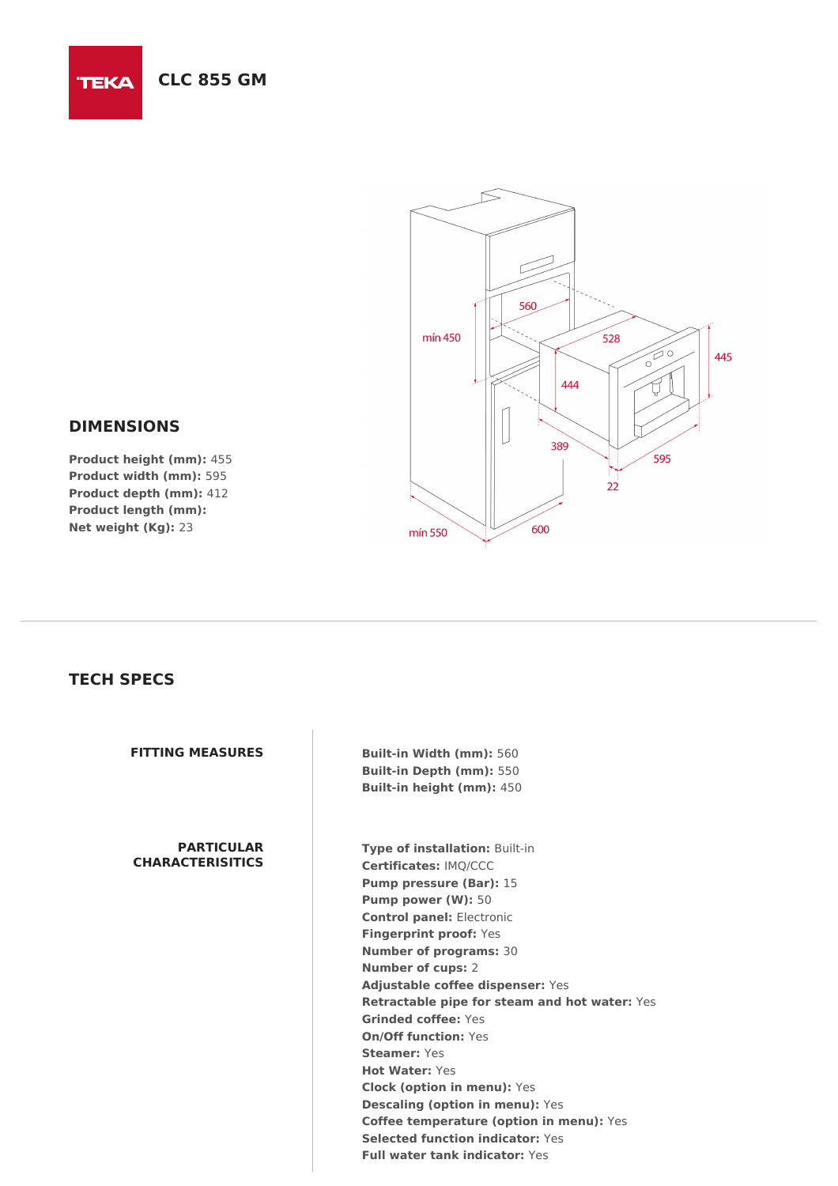

## **DIMENSIONS**

**TEKA** 

**Product height (mm):** 455 **Product width (mm):** 595 **Product depth (mm):** 412 **Product length (mm): Net weight (Kg):** 23

## **TECH SPECS**

## **PARTICULAR CHARACTERISITICS**

**FITTING MEASURES Built-in Width (mm):** 560 **Built-in Depth (mm):** 550 **Built-in height (mm):** 450

> **Type of installation:** Built-in **Certificates:** IMQ/CCC **Pump pressure (Bar):** 15 **Pump power (W):** 50 **Control panel:** Electronic **Fingerprint proof:** Yes **Number of programs:** 30 **Number of cups:** 2 **Adjustable coffee dispenser:** Yes **Retractable pipe for steam and hot water:** Yes **Grinded coffee:** Yes **On/Off function:** Yes **Steamer:** Yes **Hot Water:** Yes **Clock (option in menu):** Yes **Descaling (option in menu):** Yes **Coffee temperature (option in menu):** Yes **Selected function indicator:** Yes **Full water tank indicator:** Yes